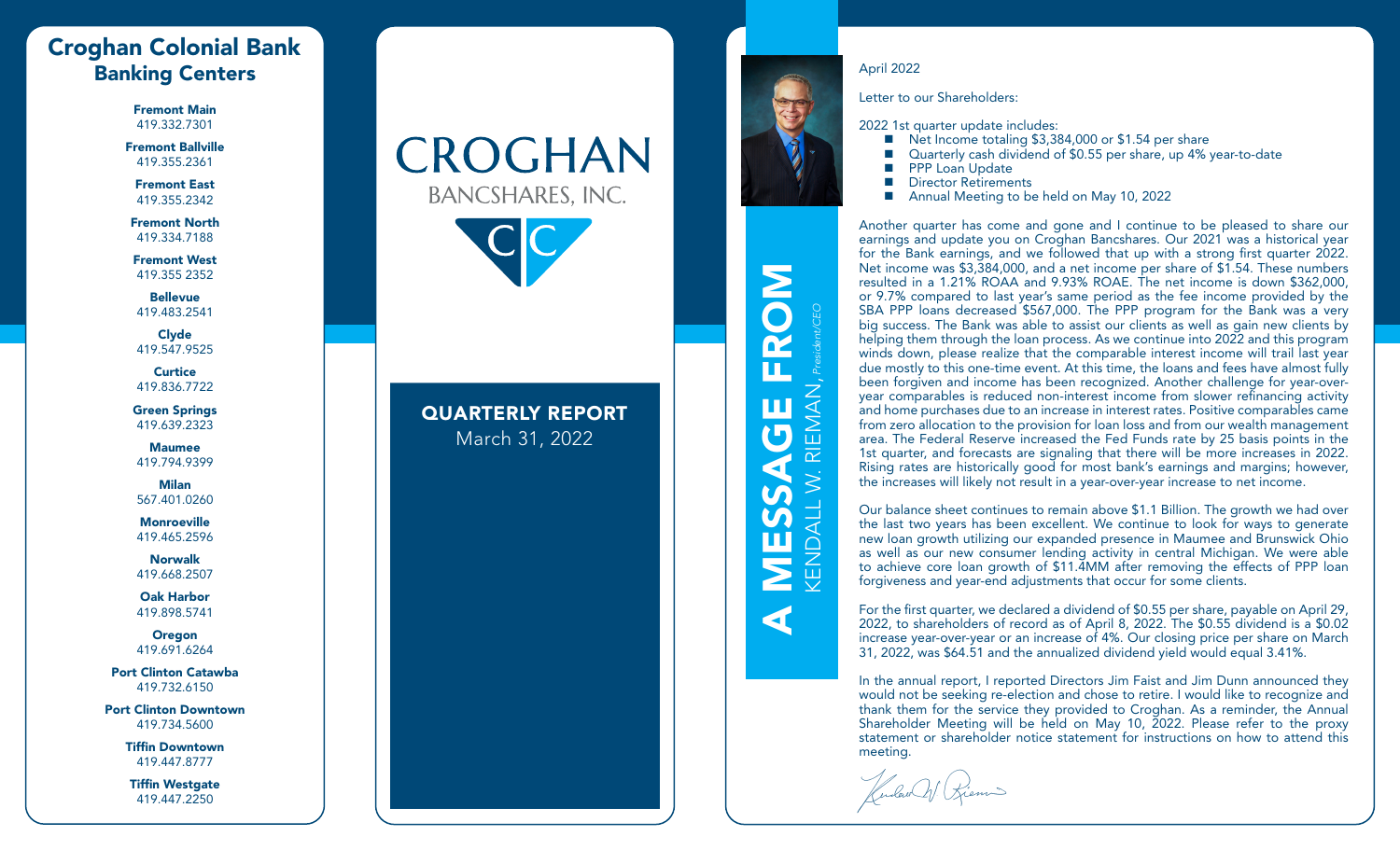# Croghan Colonial Bank **Banking Centers** April 2022

Fremont Main 419.332.7301

Fremont Ballville 419.355.2361

Fremont East 419.355.2342

Fremont North 419.334.7188

Fremont West 419.355 2352

Bellevue 419.483.2541

Clyde 419.547.9525

**Curtice** 419.836.7722

Green Springs 419.639.2323

Maumee 419.794.9399

Milan 567.401.0260

**Monroeville** 419.465.2596

Norwalk 419.668.2507

Oak Harbor 419.898.5741

**Oregon** 419.691.6264

Port Clinton Catawba 419.732.6150

Port Clinton Downtown 419.734.5600

> Tiffin Downtown 419.447.8777

Tiffin Westgate 419.447.2250

# CROGHAN **BANCSHARES, INC.**



## QUARTERLY REPORT March 31, 2022



A MESSAGE FROM

MESSAGE

 $\blacktriangleleft$ 

FROM

KENDALL W. RIEMAN, *President/CEO*

**KENDALL W.** 

RIEMAN

Letter to our Shareholders:

2022 1st quarter update includes:

- Net Income totaling \$3,384,000 or \$1.54 per share
- Quarterly cash dividend of \$0.55 per share, up 4% year-to-date
- PPP Loan Update
- **Director Retirements**
- Annual Meeting to be held on May 10, 2022

Another quarter has come and gone and I continue to be pleased to share our earnings and update you on Croghan Bancshares. Our 2021 was a historical year for the Bank earnings, and we followed that up with a strong first quarter 2022. Net income was \$3,384,000, and a net income per share of \$1.54. These numbers resulted in a 1.21% ROAA and 9.93% ROAE. The net income is down \$362,000, or 9.7% compared to last year's same period as the fee income provided by the SBA PPP loans decreased \$567,000. The PPP program for the Bank was a very big success. The Bank was able to assist our clients as well as gain new clients by helping them through the loan process. As we continue into 2022 and this program winds down, please realize that the comparable interest income will trail last year due mostly to this one-time event. At this time, the loans and fees have almost fully been forgiven and income has been recognized. Another challenge for year-overyear comparables is reduced non-interest income from slower refinancing activity and home purchases due to an increase in interest rates. Positive comparables came from zero allocation to the provision for loan loss and from our wealth management area. The Federal Reserve increased the Fed Funds rate by 25 basis points in the 1st quarter, and forecasts are signaling that there will be more increases in 2022. Rising rates are historically good for most bank's earnings and margins; however, the increases will likely not result in a year-over-year increase to net income.

Our balance sheet continues to remain above \$1.1 Billion. The growth we had over the last two years has been excellent. We continue to look for ways to generate new loan growth utilizing our expanded presence in Maumee and Brunswick Ohio as well as our new consumer lending activity in central Michigan. We were able to achieve core loan growth of \$11.4MM after removing the effects of PPP loan forgiveness and year-end adjustments that occur for some clients.

For the first quarter, we declared a dividend of \$0.55 per share, payable on April 29, 2022, to shareholders of record as of April 8, 2022. The \$0.55 dividend is a \$0.02 increase year-over-year or an increase of 4%. Our closing price per share on March 31, 2022, was \$64.51 and the annualized dividend yield would equal 3.41%.

In the annual report, I reported Directors Jim Faist and Jim Dunn announced they would not be seeking re-election and chose to retire. I would like to recognize and thank them for the service they provided to Croghan. As a reminder, the Annual Shareholder Meeting will be held on May 10, 2022. Please refer to the proxy statement or shareholder notice statement for instructions on how to attend this meeting.

Kendow W. Riems